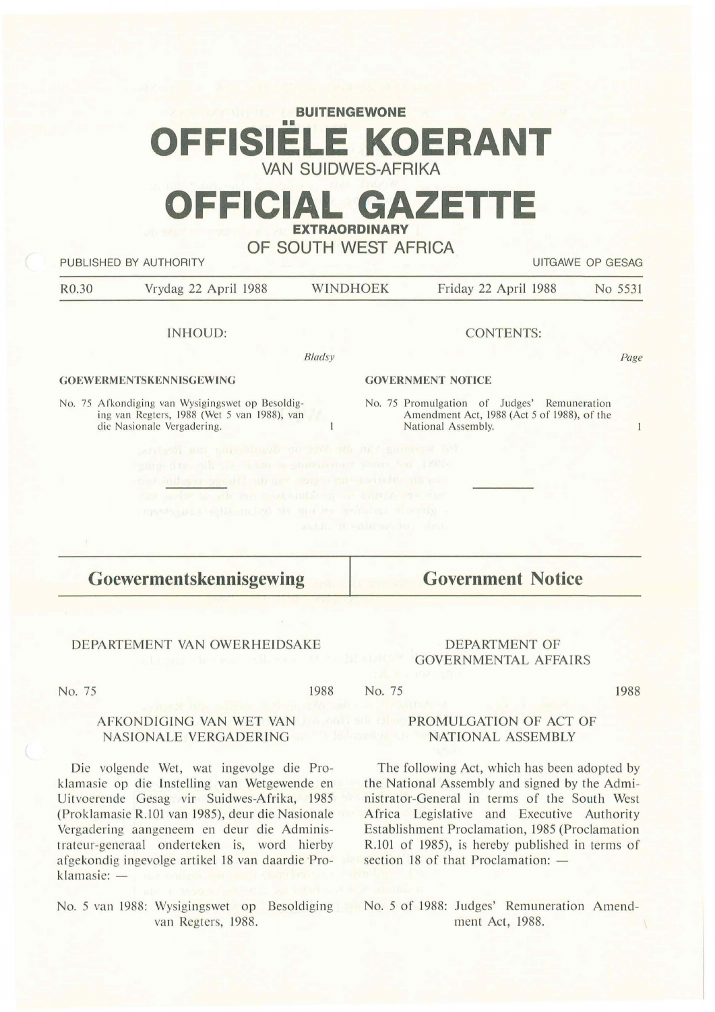# **BUITENGEWONE**  •• **OFFISIELE KOERANT VAN SUIDWES-AFRIKA**

# **OFFICIAL GAZETTE EXTRAORDINARY**

## **OF SOUTH WEST AFRICA**

| No 5531 | Friday 22 April 1988                                                                       | <b>WINDHOEK</b>          |        | Vrydag 22 April 1988                                                                                                                                                                                                                                                              |
|---------|--------------------------------------------------------------------------------------------|--------------------------|--------|-----------------------------------------------------------------------------------------------------------------------------------------------------------------------------------------------------------------------------------------------------------------------------------|
|         | <b>CONTENTS:</b>                                                                           |                          |        | <b>INHOUD:</b>                                                                                                                                                                                                                                                                    |
| Page    |                                                                                            |                          | Bladsy |                                                                                                                                                                                                                                                                                   |
|         |                                                                                            | <b>GOVERNMENT NOTICE</b> |        | <b>GOEWERMENTSKENNISGEWING</b>                                                                                                                                                                                                                                                    |
| 1       | No. 75 Promulgation of Judges' Remuneration<br>Amendment Act, 1988 (Act 5 of 1988), of the | National Assembly.       |        | No. 75 Afkondiging van Wysigingswet op Besoldig-<br>ing van Regters, 1988 (Wet 5 van 1988), van<br>die Nasionale Vergadering.                                                                                                                                                     |
|         |                                                                                            | 諸法臣, 当即 同時間当時を訪れ、 当れる。   |        | antend not pagebloard on had off and annother ask<br>aling fine all it want a guaranteer start on 1201.<br>toor indigenroups of I side any comparings and societive and use<br>not when a site me enactually or collaborate on the<br>produced a shaped in major scharas whenever |

No. 75

#### 1988 No. 75

1988

### AFKONDIGING YAN WET VAN NASIONALE VERGADERING

DEPARTEMENT VAN OWERHEIDSAKE

Die volgende Wet, wat ingevolge die Proklamasie op die Instelling van Wetgewende en Uitvoerende Gesag vir Suidwes-Afrika, 1985 (Proklamasie R.101 van 1985), deur die Nasionale Vergadering aangeneem en deur die Administrateur-generaal onderteken is, word hierby afgekondig ingevolge artikel 18 van daardie Proklamasie: -

No. 5 van 1988: Wysigingswet op Besoldiging No. 5 of 1988: Judges' Remuneration Amendvan Regters, 1988.

## PROMULGATION OF ACT OF NATIONAL ASSEMBLY

DEPARTMENT OF GOVERNMENTAL AFFAIRS

The following Act, which has been adopted by the National Assembly and signed by the Administrator-General in terms of the South West Africa Legislative and Executive Authority Establishment Proclamation, 1985 (Proclamation R.101 of 1985), is hereby published in terms of section 18 of that Proclamation:  $-$ 

ment Act, 1988.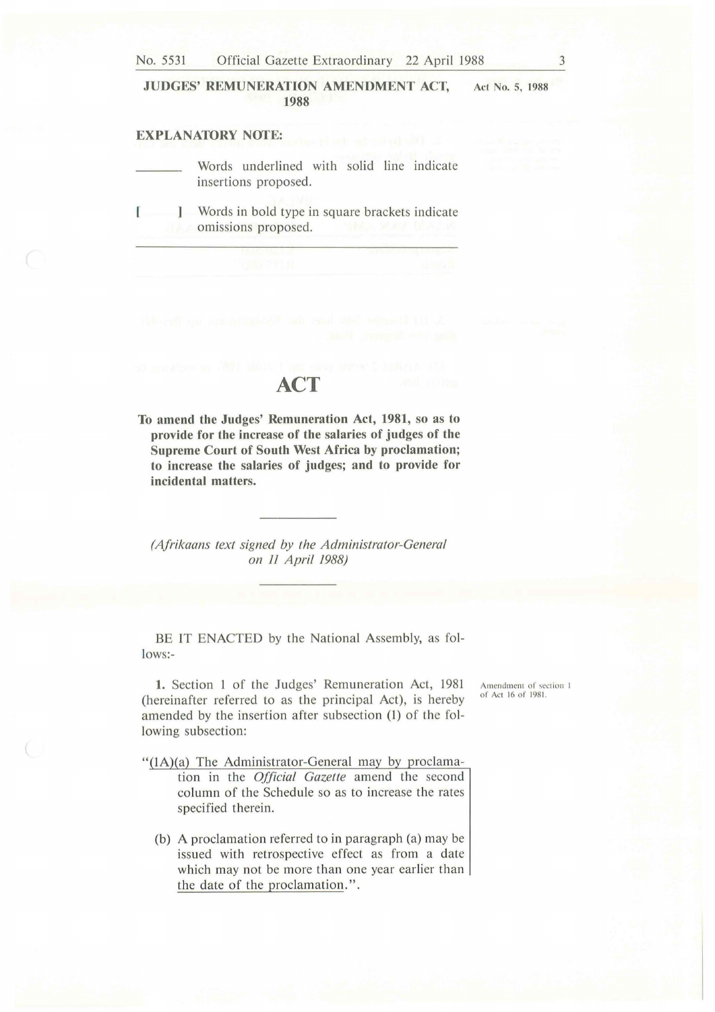No. 5531 Official Gazette Extraordinary 22 April 1988 3

#### **JUDGES' REMUNERATION AMENDMENT ACT, 1988 Act No. 5, 1988**

### **EXPLANATORY NOTE:**

Words underlined with solid line indicate insertions proposed.

[ Words in bold type in square brackets indicate omissions proposed.

## **ACT**

**To amend the Judges' Remuneration Act, 1981, so as to provide for the increase of the salaries of judges of the Supreme Court of South West Africa by proclamation; to increase the salaries of judges; and to provide for incidental matters.** 

*(Afrikaans text signed by the Administrator-General on 11 April 1988)* 

BE IT ENACTED by the National Assembly, as follows:-

**1.** Section 1 of the Judges' Remuneration Act, 1981 (hereinafter referred to as the principal Act), is hereby amended by the insertion after subsection (1) of the following subsection:

" $(1A)(a)$  The Administrator-General may by proclamation in the *Official Gazette* amend the second column of the Schedule so as to increase the rates

(b) A proclamation referred to in paragraph (a) may be issued with retrospective effect as from a date which may not be more than one year earlier than

the date of the proclamation.".

specified therein.

Amendment of section 1 of Acl 16 of 1981.